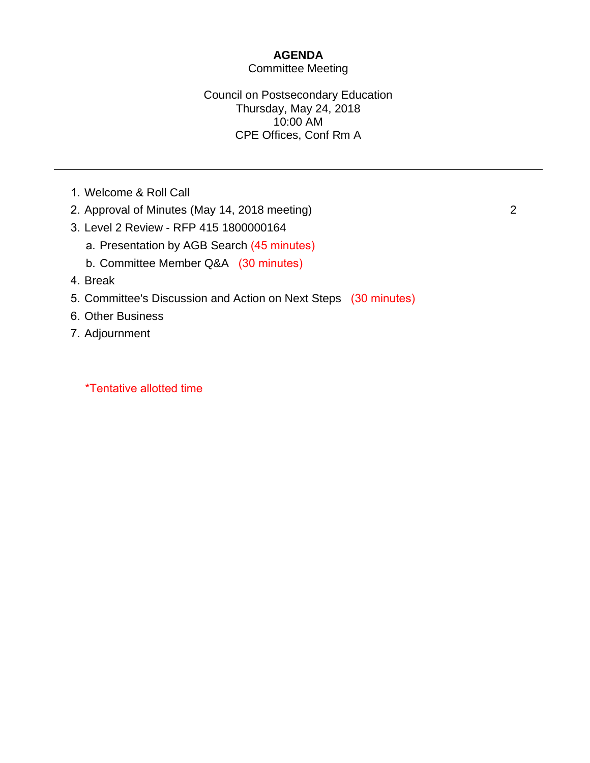### **AGENDA**

#### Committee Meeting

#### Council on Postsecondary Education Thursday, May 24, 2018 10:00 AM CPE Offices, Conf Rm A

- 1. Welcome & Roll Call
- 2. Approval of Minutes (May 14, 2018 meeting)
- 3. Level 2 Review RFP 415 1800000164
	- a. Presentation by AGB Search (45 minutes)
	- b. Committee Member Q&A (30 minutes)
- 4. Break
- 5. Committee's Discussion and Action on Next Steps (30 minutes)
- 6. Other Business
- 7. Adjournment

\*Tentative allotted time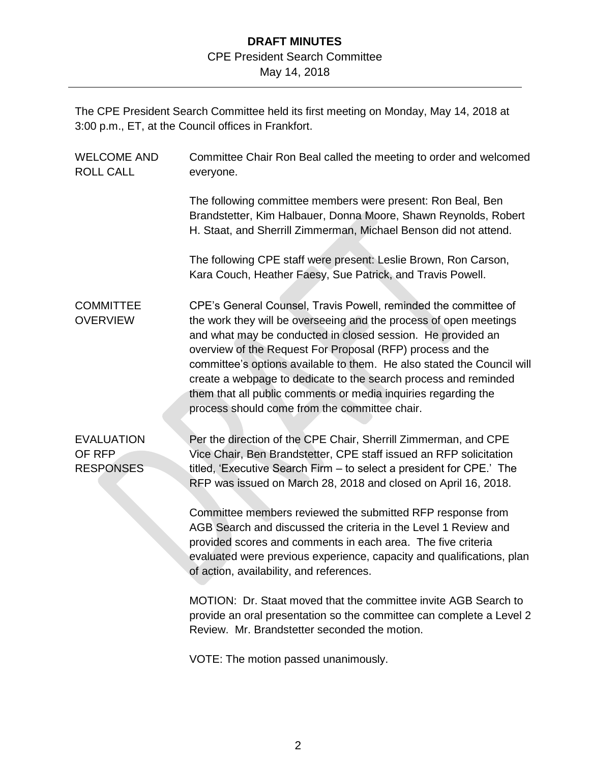### **DRAFT MINUTES** CPE President Search Committee

May 14, 2018

The CPE President Search Committee held its first meeting on Monday, May 14, 2018 at 3:00 p.m., ET, at the Council offices in Frankfort.

| <b>WELCOME AND</b><br><b>ROLL CALL</b>          | Committee Chair Ron Beal called the meeting to order and welcomed<br>everyone.                                                                                                                                                                                                                                                                                                                                                                                                                                                    |
|-------------------------------------------------|-----------------------------------------------------------------------------------------------------------------------------------------------------------------------------------------------------------------------------------------------------------------------------------------------------------------------------------------------------------------------------------------------------------------------------------------------------------------------------------------------------------------------------------|
|                                                 | The following committee members were present: Ron Beal, Ben<br>Brandstetter, Kim Halbauer, Donna Moore, Shawn Reynolds, Robert<br>H. Staat, and Sherrill Zimmerman, Michael Benson did not attend.                                                                                                                                                                                                                                                                                                                                |
|                                                 | The following CPE staff were present: Leslie Brown, Ron Carson,<br>Kara Couch, Heather Faesy, Sue Patrick, and Travis Powell.                                                                                                                                                                                                                                                                                                                                                                                                     |
| <b>COMMITTEE</b><br><b>OVERVIEW</b>             | CPE's General Counsel, Travis Powell, reminded the committee of<br>the work they will be overseeing and the process of open meetings<br>and what may be conducted in closed session. He provided an<br>overview of the Request For Proposal (RFP) process and the<br>committee's options available to them. He also stated the Council will<br>create a webpage to dedicate to the search process and reminded<br>them that all public comments or media inquiries regarding the<br>process should come from the committee chair. |
| <b>EVALUATION</b><br>OF RFP<br><b>RESPONSES</b> | Per the direction of the CPE Chair, Sherrill Zimmerman, and CPE<br>Vice Chair, Ben Brandstetter, CPE staff issued an RFP solicitation<br>titled, 'Executive Search Firm – to select a president for CPE.' The<br>RFP was issued on March 28, 2018 and closed on April 16, 2018.                                                                                                                                                                                                                                                   |
|                                                 | Committee members reviewed the submitted RFP response from<br>AGB Search and discussed the criteria in the Level 1 Review and<br>provided scores and comments in each area. The five criteria<br>evaluated were previous experience, capacity and qualifications, plan<br>of action, availability, and references.                                                                                                                                                                                                                |
|                                                 | MOTION: Dr. Staat moved that the committee invite AGB Search to<br>provide an oral presentation so the committee can complete a Level 2<br>Review. Mr. Brandstetter seconded the motion.                                                                                                                                                                                                                                                                                                                                          |
|                                                 | VOTE: The motion passed unanimously.                                                                                                                                                                                                                                                                                                                                                                                                                                                                                              |